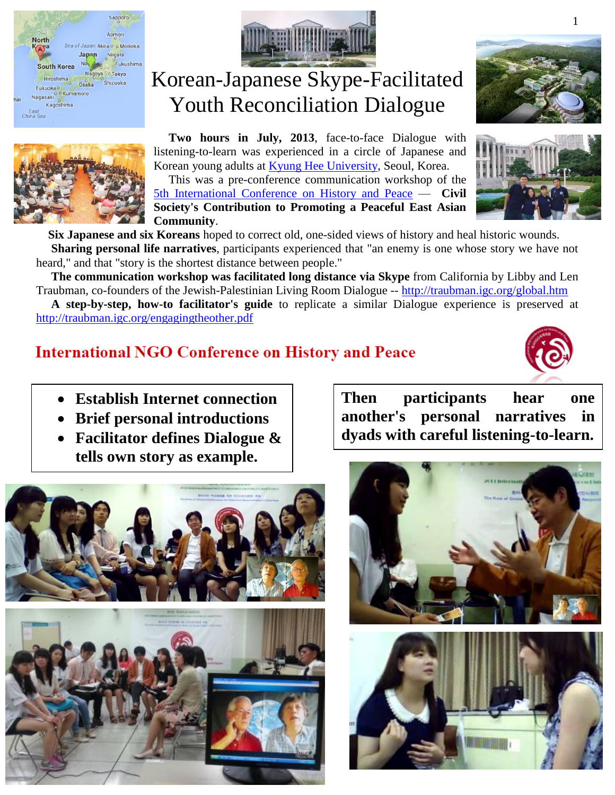





Korean-Japanese Skype-Facilitated Youth Reconciliation Dialogue

 **Two hours in July, 2013**, face-to-face Dialogue with listening-to-learn was experienced in a circle of Japanese and Korean young adults at [Kyung Hee University,](http://www.khu.ac.kr/eng/) Seoul, Korea.

 This was a pre-conference communication workshop of the [5th International Conference on History and Peace](http://api.ning.com/files/IF7s6H0Az3F*uJEVf3kOC0e0W4-dJ7xHC9JpJZQ6qshOJJwBqUSobs7rkz40mpre-r*8Ic*7iM7dCPj7uHk-en4gXTHrh-cx/5thNGOConferenceIntroduction0429.pdf) — **Civil Society's Contribution to Promoting a Peaceful East Asian Community**.





 **Six Japanese and six Koreans** hoped to correct old, one-sided views of history and heal historic wounds.  **Sharing personal life narratives**, participants experienced that "an enemy is one whose story we have not heard," and that "story is the shortest distance between people."

 **The communication workshop was facilitated long distance via Skype** from California by Libby and Len Traubman, co-founders of the Jewish-Palestinian Living Room Dialogue -- <http://traubman.igc.org/global.htm>

 **A step-by-step, how-to facilitator's guide** to replicate a similar Dialogue experience is preserved at <http://traubman.igc.org/engagingtheother.pdf>

### **International NGO Conference on History and Peace**



- **Establish Internet connection**
- **Brief personal introductions**
- **Facilitator defines Dialogue & tells own story as example.**





**Then participants hear one another's personal narratives in dyads with careful listening-to-learn.**

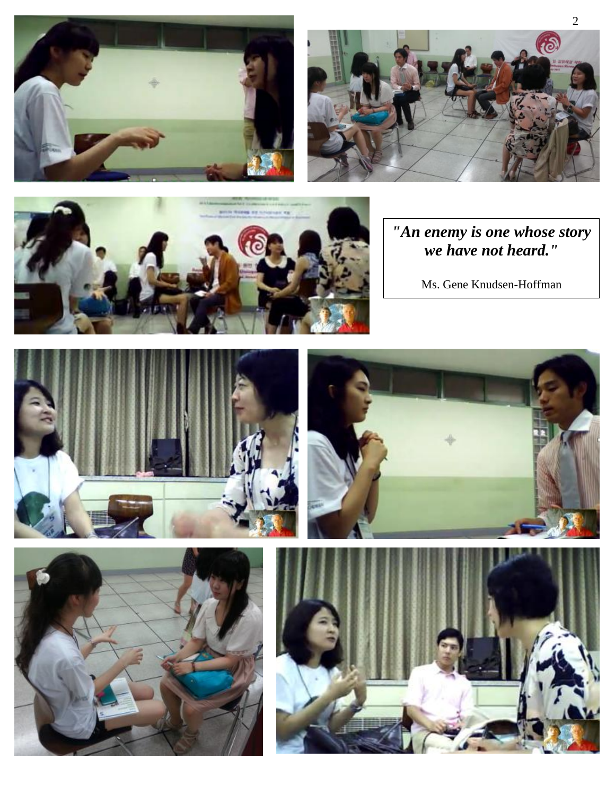





*"An enemy is one whose story we have not heard."*

Ms. Gene Knudsen-Hoffman







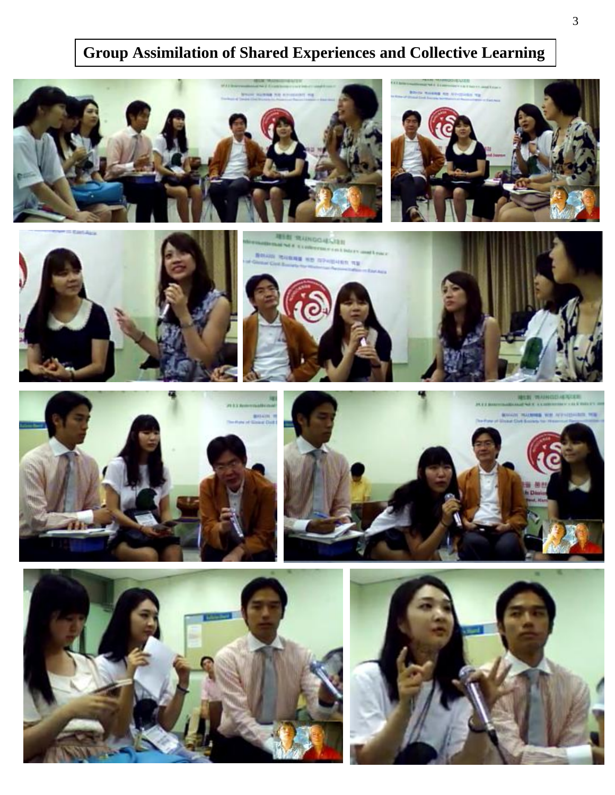# **Group Assimilation of Shared Experiences and Collective Learning**







**REAL PRAINDING ASSESS No. BASE NO OPAINABLE NE** 











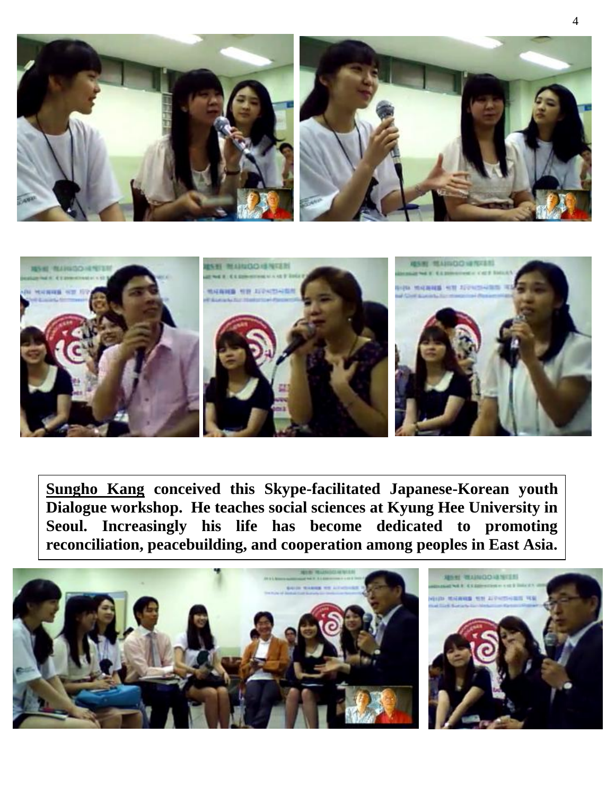



**Sungho Kang conceived this Skype-facilitated Japanese-Korean youth Dialogue workshop. He teaches social sciences at Kyung Hee University in Seoul. Increasingly his life has become dedicated to promoting reconciliation, peacebuilding, and cooperation among peoples in East Asia.**

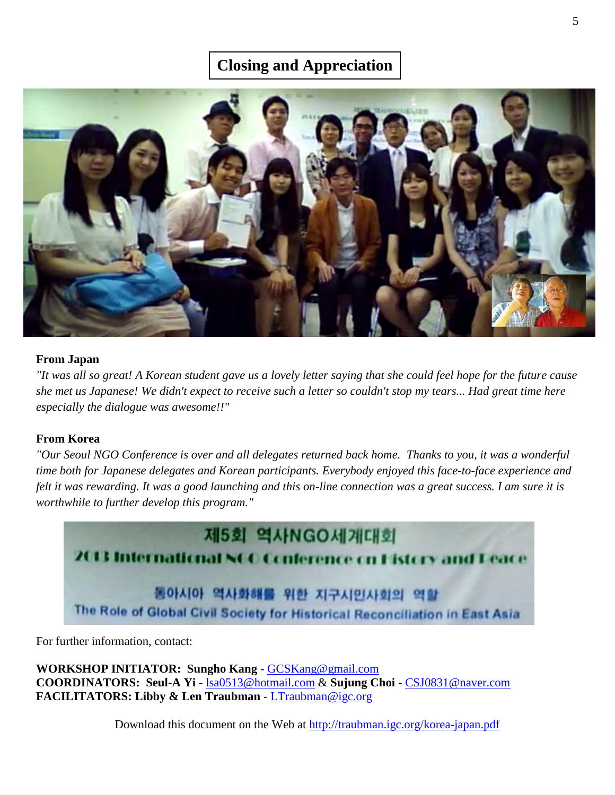## **Closing and Appreciation**



### **From Japan**

*"It was all so great! A Korean student gave us a lovely letter saying that she could feel hope for the future cause she met us Japanese! We didn't expect to receive such a letter so couldn't stop my tears... Had great time here especially the dialogue was awesome!!"*

### **From Korea**

*"Our Seoul NGO Conference is over and all delegates returned back home. Thanks to you, it was a wonderful time both for Japanese delegates and Korean participants. Everybody enjoyed this face-to-face experience and felt it was rewarding. It was a good launching and this on-line connection was a great success. I am sure it is worthwhile to further develop this program."*

제5회 역사NGO세계대회 2013 Interna cnal NCC Conference on Eistory a 동아시아 역사화해를 위한 지구시민사회의 역 The Role of Global Civil Society for Historical Reconciliation in East Asia

For further information, contact:

**WORKSHOP INITIATOR: Sungho Kang** - [GCSKang@gmail.com](mailto:GCKSang@gmail.com) **COORDINATORS: Seul-A Yi -** [lsa0513@hotmail.com](mailto:lsa0513@hotmail.com) & **Sujung Choi -** [CSJ0831@naver.com](mailto:CSJ0831@naver.com) **FACILITATORS: Libby & Len Traubman** - [LTraubman@igc.org](mailto:LTraubman@igc.org)

Download this document on the Web at<http://traubman.igc.org/korea-japan.pdf>